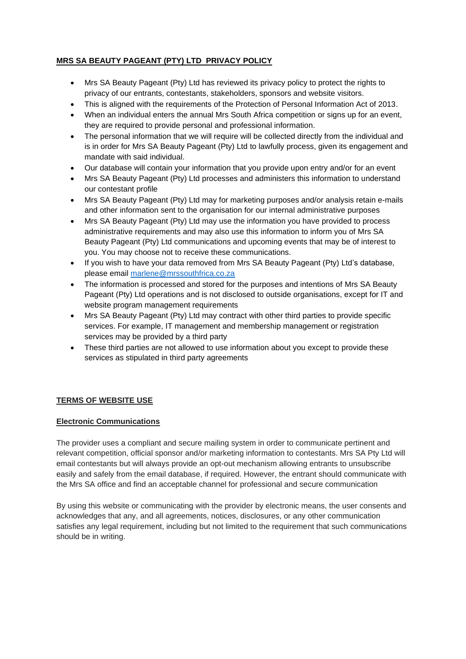# **MRS SA BEAUTY PAGEANT (PTY) LTD PRIVACY POLICY**

- Mrs SA Beauty Pageant (Pty) Ltd has reviewed its privacy policy to protect the rights to privacy of our entrants, contestants, stakeholders, sponsors and website visitors.
- This is aligned with the requirements of the Protection of Personal Information Act of 2013.
- When an individual enters the annual Mrs South Africa competition or signs up for an event, they are required to provide personal and professional information.
- The personal information that we will require will be collected directly from the individual and is in order for Mrs SA Beauty Pageant (Pty) Ltd to lawfully process, given its engagement and mandate with said individual.
- Our database will contain your information that you provide upon entry and/or for an event
- Mrs SA Beauty Pageant (Pty) Ltd processes and administers this information to understand our contestant profile
- Mrs SA Beauty Pageant (Pty) Ltd may for marketing purposes and/or analysis retain e-mails and other information sent to the organisation for our internal administrative purposes
- Mrs SA Beauty Pageant (Pty) Ltd may use the information you have provided to process administrative requirements and may also use this information to inform you of Mrs SA Beauty Pageant (Pty) Ltd communications and upcoming events that may be of interest to you. You may choose not to receive these communications.
- If you wish to have your data removed from Mrs SA Beauty Pageant (Pty) Ltd's database, please email [marlene@mrssouthfrica.co.za](mailto:marlene@mrssouthfrica.co.za)
- The information is processed and stored for the purposes and intentions of Mrs SA Beauty Pageant (Pty) Ltd operations and is not disclosed to outside organisations, except for IT and website program management requirements
- Mrs SA Beauty Pageant (Pty) Ltd may contract with other third parties to provide specific services. For example, IT management and membership management or registration services may be provided by a third party
- These third parties are not allowed to use information about you except to provide these services as stipulated in third party agreements

# **TERMS OF WEBSITE USE**

## **Electronic Communications**

The provider uses a compliant and secure mailing system in order to communicate pertinent and relevant competition, official sponsor and/or marketing information to contestants. Mrs SA Pty Ltd will email contestants but will always provide an opt-out mechanism allowing entrants to unsubscribe easily and safely from the email database, if required. However, the entrant should communicate with the Mrs SA office and find an acceptable channel for professional and secure communication

By using this website or communicating with the provider by electronic means, the user consents and acknowledges that any, and all agreements, notices, disclosures, or any other communication satisfies any legal requirement, including but not limited to the requirement that such communications should be in writing.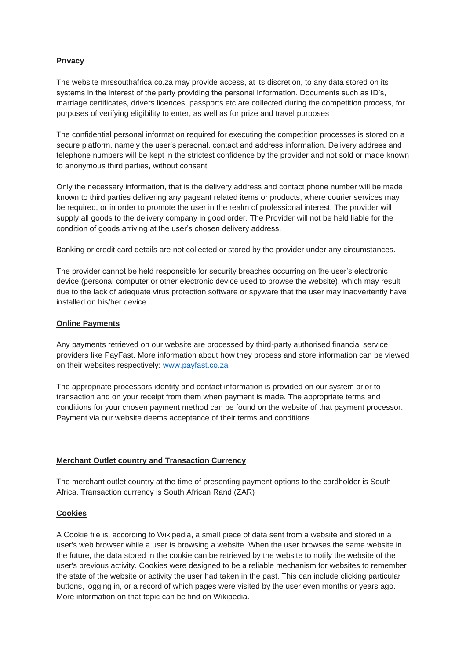## **Privacy**

The website mrssouthafrica.co.za may provide access, at its discretion, to any data stored on its systems in the interest of the party providing the personal information. Documents such as ID's, marriage certificates, drivers licences, passports etc are collected during the competition process, for purposes of verifying eligibility to enter, as well as for prize and travel purposes

The confidential personal information required for executing the competition processes is stored on a secure platform, namely the user's personal, contact and address information. Delivery address and telephone numbers will be kept in the strictest confidence by the provider and not sold or made known to anonymous third parties, without consent

Only the necessary information, that is the delivery address and contact phone number will be made known to third parties delivering any pageant related items or products, where courier services may be required, or in order to promote the user in the realm of professional interest. The provider will supply all goods to the delivery company in good order. The Provider will not be held liable for the condition of goods arriving at the user's chosen delivery address.

Banking or credit card details are not collected or stored by the provider under any circumstances.

The provider cannot be held responsible for security breaches occurring on the user's electronic device (personal computer or other electronic device used to browse the website), which may result due to the lack of adequate virus protection software or spyware that the user may inadvertently have installed on his/her device.

## **Online Payments**

Any payments retrieved on our website are processed by third-party authorised financial service providers like PayFast. More information about how they process and store information can be viewed on their websites respectively: [www.payfast.co.za](http://www.payfast.co.za/)

The appropriate processors identity and contact information is provided on our system prior to transaction and on your receipt from them when payment is made. The appropriate terms and conditions for your chosen payment method can be found on the website of that payment processor. Payment via our website deems acceptance of their terms and conditions.

## **Merchant Outlet country and Transaction Currency**

The merchant outlet country at the time of presenting payment options to the cardholder is South Africa. Transaction currency is South African Rand (ZAR)

## **Cookies**

A Cookie file is, according to Wikipedia, a small piece of data sent from a website and stored in a user's web browser while a user is browsing a website. When the user browses the same website in the future, the data stored in the cookie can be retrieved by the website to notify the website of the user's previous activity. Cookies were designed to be a reliable mechanism for websites to remember the state of the website or activity the user had taken in the past. This can include clicking particular buttons, logging in, or a record of which pages were visited by the user even months or years ago. More information on that topic can be find on Wikipedia.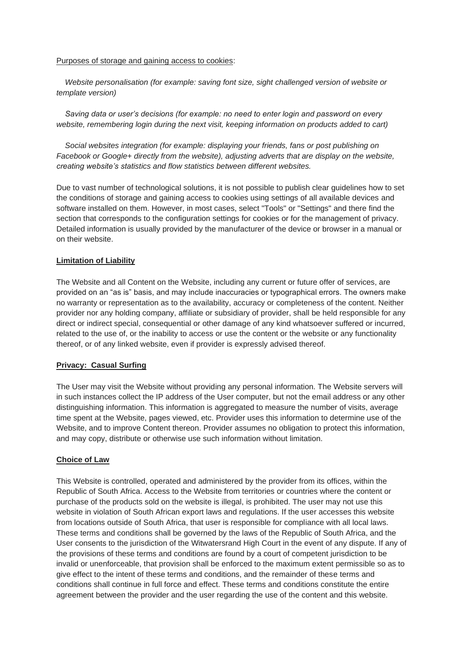#### Purposes of storage and gaining access to cookies:

 *Website personalisation (for example: saving font size, sight challenged version of website or template version)*

 *Saving data or user's decisions (for example: no need to enter login and password on every website, remembering login during the next visit, keeping information on products added to cart)*

 *Social websites integration (for example: displaying your friends, fans or post publishing on Facebook or Google+ directly from the website), adjusting adverts that are display on the website, creating website's statistics and flow statistics between different websites.*

Due to vast number of technological solutions, it is not possible to publish clear guidelines how to set the conditions of storage and gaining access to cookies using settings of all available devices and software installed on them. However, in most cases, select "Tools" or "Settings" and there find the section that corresponds to the configuration settings for cookies or for the management of privacy. Detailed information is usually provided by the manufacturer of the device or browser in a manual or on their website.

## **Limitation of Liability**

The Website and all Content on the Website, including any current or future offer of services, are provided on an "as is" basis, and may include inaccuracies or typographical errors. The owners make no warranty or representation as to the availability, accuracy or completeness of the content. Neither provider nor any holding company, affiliate or subsidiary of provider, shall be held responsible for any direct or indirect special, consequential or other damage of any kind whatsoever suffered or incurred, related to the use of, or the inability to access or use the content or the website or any functionality thereof, or of any linked website, even if provider is expressly advised thereof.

#### **Privacy: Casual Surfing**

The User may visit the Website without providing any personal information. The Website servers will in such instances collect the IP address of the User computer, but not the email address or any other distinguishing information. This information is aggregated to measure the number of visits, average time spent at the Website, pages viewed, etc. Provider uses this information to determine use of the Website, and to improve Content thereon. Provider assumes no obligation to protect this information, and may copy, distribute or otherwise use such information without limitation.

#### **Choice of Law**

This Website is controlled, operated and administered by the provider from its offices, within the Republic of South Africa. Access to the Website from territories or countries where the content or purchase of the products sold on the website is illegal, is prohibited. The user may not use this website in violation of South African export laws and regulations. If the user accesses this website from locations outside of South Africa, that user is responsible for compliance with all local laws. These terms and conditions shall be governed by the laws of the Republic of South Africa, and the User consents to the jurisdiction of the Witwatersrand High Court in the event of any dispute. If any of the provisions of these terms and conditions are found by a court of competent jurisdiction to be invalid or unenforceable, that provision shall be enforced to the maximum extent permissible so as to give effect to the intent of these terms and conditions, and the remainder of these terms and conditions shall continue in full force and effect. These terms and conditions constitute the entire agreement between the provider and the user regarding the use of the content and this website.